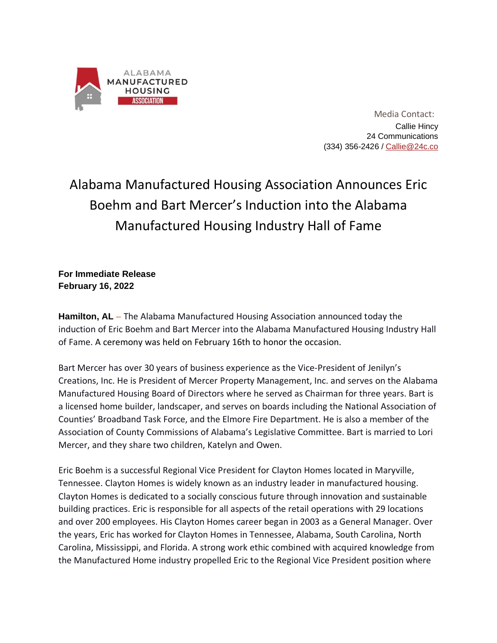

 Media Contact: Callie Hincy 24 Communications (334) 356-2426 / [Callie@24c.co](mailto:Callie@24c.co)

## Alabama Manufactured Housing Association Announces Eric Boehm and Bart Mercer's Induction into the Alabama Manufactured Housing Industry Hall of Fame

**For Immediate Release February 16, 2022**

**Hamilton, AL** – The Alabama Manufactured Housing Association announced today the induction of Eric Boehm and Bart Mercer into the Alabama Manufactured Housing Industry Hall of Fame. A ceremony was held on February 16th to honor the occasion.

Bart Mercer has over 30 years of business experience as the Vice-President of Jenilyn's Creations, Inc. He is President of Mercer Property Management, Inc. and serves on the Alabama Manufactured Housing Board of Directors where he served as Chairman for three years. Bart is a licensed home builder, landscaper, and serves on boards including the National Association of Counties' Broadband Task Force, and the Elmore Fire Department. He is also a member of the Association of County Commissions of Alabama's Legislative Committee. Bart is married to Lori Mercer, and they share two children, Katelyn and Owen.

Eric Boehm is a successful Regional Vice President for Clayton Homes located in Maryville, Tennessee. Clayton Homes is widely known as an industry leader in manufactured housing. Clayton Homes is dedicated to a socially conscious future through innovation and sustainable building practices. Eric is responsible for all aspects of the retail operations with 29 locations and over 200 employees. His Clayton Homes career began in 2003 as a General Manager. Over the years, Eric has worked for Clayton Homes in Tennessee, Alabama, South Carolina, North Carolina, Mississippi, and Florida. A strong work ethic combined with acquired knowledge from the Manufactured Home industry propelled Eric to the Regional Vice President position where